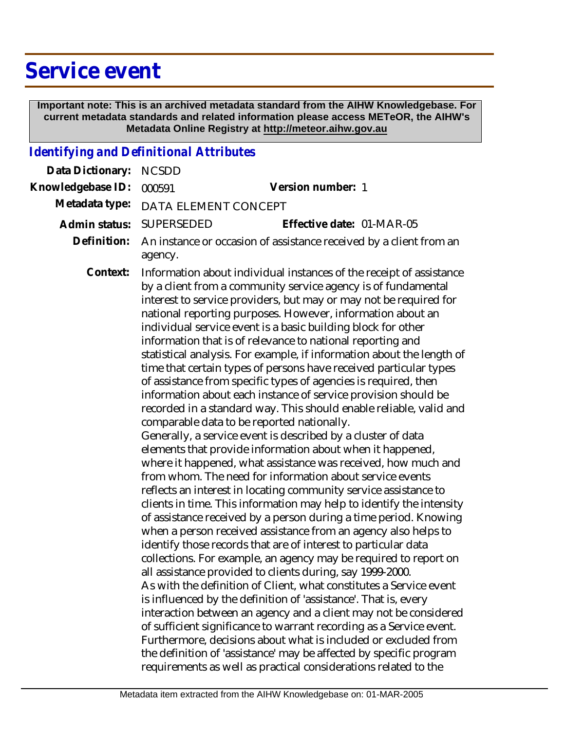## **Service event**

 **Important note: This is an archived metadata standard from the AIHW Knowledgebase. For current metadata standards and related information please access METeOR, the AIHW's Metadata Online Registry at http://meteor.aihw.gov.au**

## *Identifying and Definitional Attributes*

| Data Dictionary:  | <b>NCSDD</b>                                                                                                                                                                                                                                                                                                                                                                                                                                                                                                                                                                                                                                                                                                                                                                                                                                                                                                                                                                                                                                                                                                                                                                                                                                                                                                                                                                                                                                                                                                                                                                                                                                                                                                                                                                                                                                                                                                                                                                                                                                               |
|-------------------|------------------------------------------------------------------------------------------------------------------------------------------------------------------------------------------------------------------------------------------------------------------------------------------------------------------------------------------------------------------------------------------------------------------------------------------------------------------------------------------------------------------------------------------------------------------------------------------------------------------------------------------------------------------------------------------------------------------------------------------------------------------------------------------------------------------------------------------------------------------------------------------------------------------------------------------------------------------------------------------------------------------------------------------------------------------------------------------------------------------------------------------------------------------------------------------------------------------------------------------------------------------------------------------------------------------------------------------------------------------------------------------------------------------------------------------------------------------------------------------------------------------------------------------------------------------------------------------------------------------------------------------------------------------------------------------------------------------------------------------------------------------------------------------------------------------------------------------------------------------------------------------------------------------------------------------------------------------------------------------------------------------------------------------------------------|
| Knowledgebase ID: | Version number: 1<br>000591                                                                                                                                                                                                                                                                                                                                                                                                                                                                                                                                                                                                                                                                                                                                                                                                                                                                                                                                                                                                                                                                                                                                                                                                                                                                                                                                                                                                                                                                                                                                                                                                                                                                                                                                                                                                                                                                                                                                                                                                                                |
| Metadata type:    | DATA ELEMENT CONCEPT                                                                                                                                                                                                                                                                                                                                                                                                                                                                                                                                                                                                                                                                                                                                                                                                                                                                                                                                                                                                                                                                                                                                                                                                                                                                                                                                                                                                                                                                                                                                                                                                                                                                                                                                                                                                                                                                                                                                                                                                                                       |
| Admin status:     | Effective date: 01-MAR-05<br>SUPERSEDED                                                                                                                                                                                                                                                                                                                                                                                                                                                                                                                                                                                                                                                                                                                                                                                                                                                                                                                                                                                                                                                                                                                                                                                                                                                                                                                                                                                                                                                                                                                                                                                                                                                                                                                                                                                                                                                                                                                                                                                                                    |
| Definition:       | An instance or occasion of assistance received by a client from an<br>agency.                                                                                                                                                                                                                                                                                                                                                                                                                                                                                                                                                                                                                                                                                                                                                                                                                                                                                                                                                                                                                                                                                                                                                                                                                                                                                                                                                                                                                                                                                                                                                                                                                                                                                                                                                                                                                                                                                                                                                                              |
| Context:          | Information about individual instances of the receipt of assistance<br>by a client from a community service agency is of fundamental<br>interest to service providers, but may or may not be required for<br>national reporting purposes. However, information about an<br>individual service event is a basic building block for other<br>information that is of relevance to national reporting and<br>statistical analysis. For example, if information about the length of<br>time that certain types of persons have received particular types<br>of assistance from specific types of agencies is required, then<br>information about each instance of service provision should be<br>recorded in a standard way. This should enable reliable, valid and<br>comparable data to be reported nationally.<br>Generally, a service event is described by a cluster of data<br>elements that provide information about when it happened,<br>where it happened, what assistance was received, how much and<br>from whom. The need for information about service events<br>reflects an interest in locating community service assistance to<br>clients in time. This information may help to identify the intensity<br>of assistance received by a person during a time period. Knowing<br>when a person received assistance from an agency also helps to<br>identify those records that are of interest to particular data<br>collections. For example, an agency may be required to report on<br>all assistance provided to clients during, say 1999-2000.<br>As with the definition of Client, what constitutes a Service event<br>is influenced by the definition of 'assistance'. That is, every<br>interaction between an agency and a client may not be considered<br>of sufficient significance to warrant recording as a Service event.<br>Furthermore, decisions about what is included or excluded from<br>the definition of 'assistance' may be affected by specific program<br>requirements as well as practical considerations related to the |